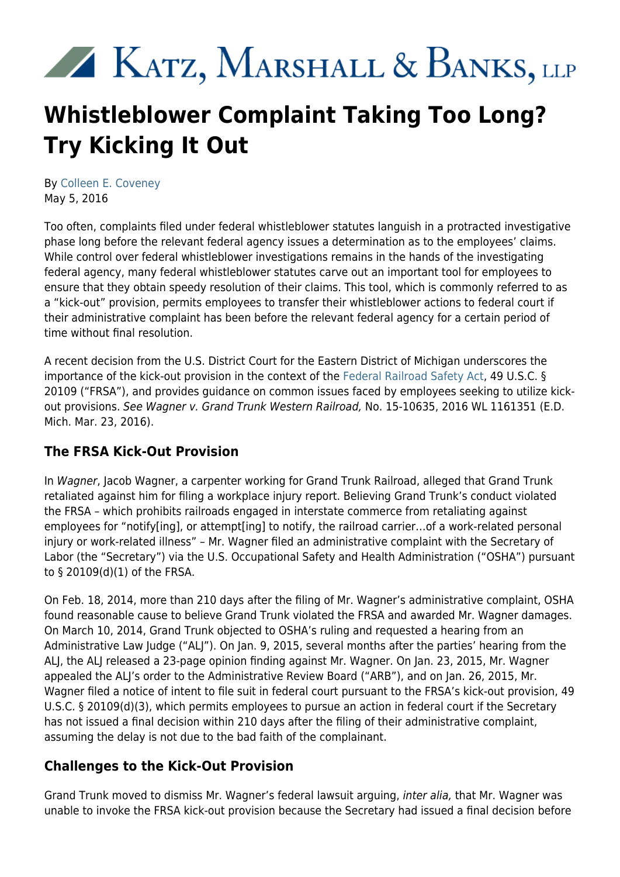# KATZ, MARSHALL & BANKS, LLP

## **Whistleblower Complaint Taking Too Long? Try Kicking It Out**

By [Colleen E. Coveney](https://www.kmblegal.com/attorneys-and-staff/colleen-coveney) May 5, 2016

Too often, complaints filed under federal whistleblower statutes languish in a protracted investigative phase long before the relevant federal agency issues a determination as to the employees' claims. While control over federal whistleblower investigations remains in the hands of the investigating federal agency, many federal whistleblower statutes carve out an important tool for employees to ensure that they obtain speedy resolution of their claims. This tool, which is commonly referred to as a "kick-out" provision, permits employees to transfer their whistleblower actions to federal court if their administrative complaint has been before the relevant federal agency for a certain period of time without final resolution.

A recent decision from the U.S. District Court for the Eastern District of Michigan underscores the importance of the kick-out provision in the context of the [Federal Railroad Safety Act,](http://www.kmblegal.com/resources/public-transportation) 49 U.S.C. § 20109 ("FRSA"), and provides guidance on common issues faced by employees seeking to utilize kickout provisions. See Wagner v. Grand Trunk Western Railroad, No. 15-10635, 2016 WL 1161351 (E.D. Mich. Mar. 23, 2016).

### **The FRSA Kick-Out Provision**

In Wagner, Jacob Wagner, a carpenter working for Grand Trunk Railroad, alleged that Grand Trunk retaliated against him for filing a workplace injury report. Believing Grand Trunk's conduct violated the FRSA – which prohibits railroads engaged in interstate commerce from retaliating against employees for "notify[ing], or attempt[ing] to notify, the railroad carrier…of a work-related personal injury or work-related illness" – Mr. Wagner filed an administrative complaint with the Secretary of Labor (the "Secretary") via the U.S. Occupational Safety and Health Administration ("OSHA") pursuant to § 20109(d)(1) of the FRSA.

On Feb. 18, 2014, more than 210 days after the filing of Mr. Wagner's administrative complaint, OSHA found reasonable cause to believe Grand Trunk violated the FRSA and awarded Mr. Wagner damages. On March 10, 2014, Grand Trunk objected to OSHA's ruling and requested a hearing from an Administrative Law Judge ("ALJ"). On Jan. 9, 2015, several months after the parties' hearing from the ALJ, the ALJ released a 23-page opinion finding against Mr. Wagner. On Jan. 23, 2015, Mr. Wagner appealed the ALJ's order to the Administrative Review Board ("ARB"), and on Jan. 26, 2015, Mr. Wagner filed a notice of intent to file suit in federal court pursuant to the FRSA's kick-out provision, 49 U.S.C. § 20109(d)(3), which permits employees to pursue an action in federal court if the Secretary has not issued a final decision within 210 days after the filing of their administrative complaint, assuming the delay is not due to the bad faith of the complainant.

### **Challenges to the Kick-Out Provision**

Grand Trunk moved to dismiss Mr. Wagner's federal lawsuit arguing, inter alia, that Mr. Wagner was unable to invoke the FRSA kick-out provision because the Secretary had issued a final decision before